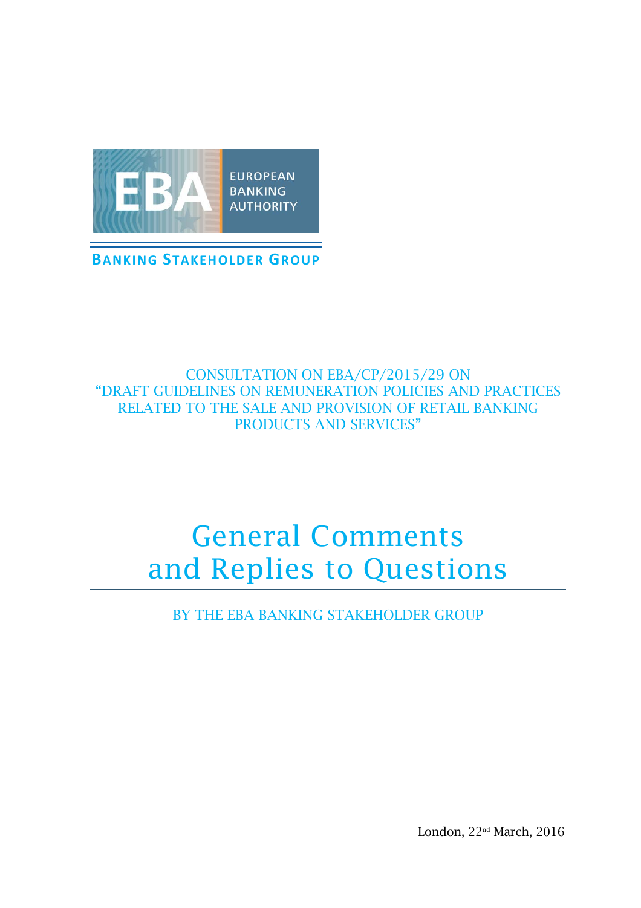

### CONSULTATION ON EBA/CP/2015/29 ON "DRAFT GUIDELINES ON REMUNERATION POLICIES AND PRACTICES RELATED TO THE SALE AND PROVISION OF RETAIL BANKING PRODUCTS AND SERVICES"

# General Comments and Replies to Questions

BY THE EBA BANKING STAKEHOLDER GROUP

London, 22<sup>nd</sup> March, 2016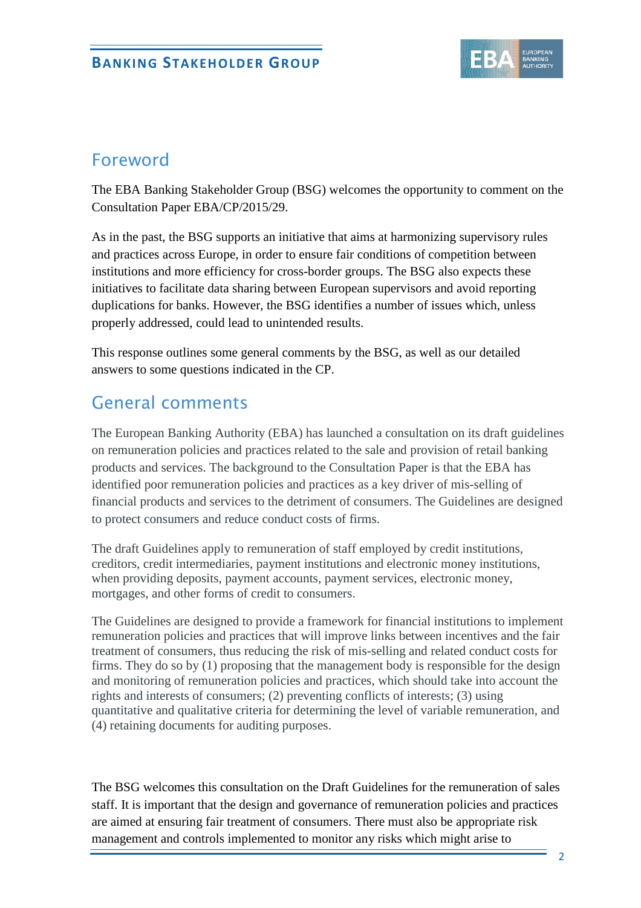

# Foreword

The EBA Banking Stakeholder Group (BSG) welcomes the opportunity to comment on the Consultation Paper EBA/CP/2015/29.

As in the past, the BSG supports an initiative that aims at harmonizing supervisory rules and practices across Europe, in order to ensure fair conditions of competition between institutions and more efficiency for cross-border groups. The BSG also expects these initiatives to facilitate data sharing between European supervisors and avoid reporting duplications for banks. However, the BSG identifies a number of issues which, unless properly addressed, could lead to unintended results.

This response outlines some general comments by the BSG, as well as our detailed answers to some questions indicated in the CP.

# General comments

The European Banking Authority (EBA) has launched a consultation on its draft guidelines on remuneration policies and practices related to the sale and provision of retail banking products and services. The background to the Consultation Paper is that the EBA has identified poor remuneration policies and practices as a key driver of mis-selling of financial products and services to the detriment of consumers. The Guidelines are designed to protect consumers and reduce conduct costs of firms.

The draft Guidelines apply to remuneration of staff employed by credit institutions, creditors, credit intermediaries, payment institutions and electronic money institutions, when providing deposits, payment accounts, payment services, electronic money, mortgages, and other forms of credit to consumers.

The Guidelines are designed to provide a framework for financial institutions to implement remuneration policies and practices that will improve links between incentives and the fair treatment of consumers, thus reducing the risk of mis-selling and related conduct costs for firms. They do so by (1) proposing that the management body is responsible for the design and monitoring of remuneration policies and practices, which should take into account the rights and interests of consumers; (2) preventing conflicts of interests; (3) using quantitative and qualitative criteria for determining the level of variable remuneration, and (4) retaining documents for auditing purposes.

The BSG welcomes this consultation on the Draft Guidelines for the remuneration of sales staff. It is important that the design and governance of remuneration policies and practices are aimed at ensuring fair treatment of consumers. There must also be appropriate risk management and controls implemented to monitor any risks which might arise to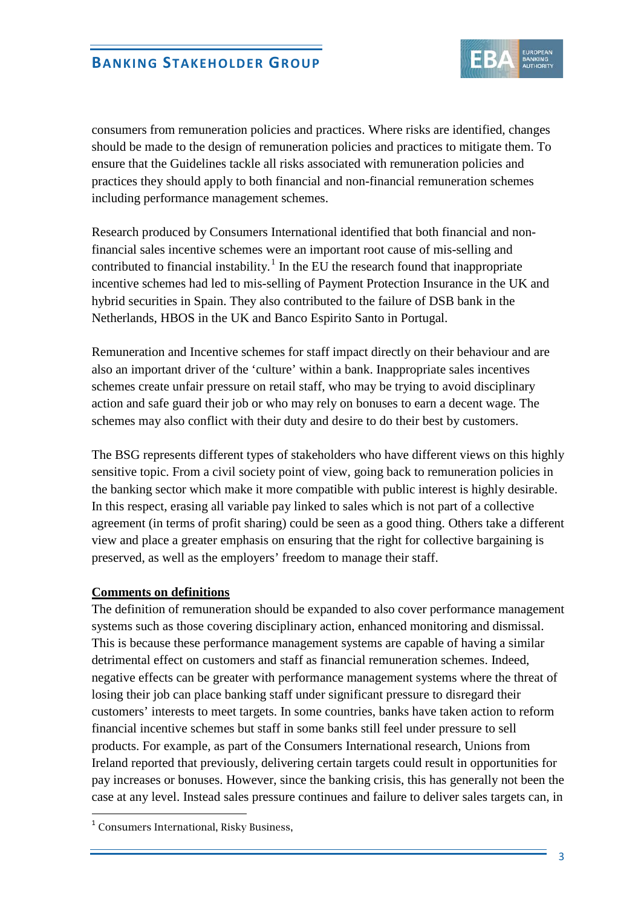

consumers from remuneration policies and practices. Where risks are identified, changes should be made to the design of remuneration policies and practices to mitigate them. To ensure that the Guidelines tackle all risks associated with remuneration policies and practices they should apply to both financial and non-financial remuneration schemes including performance management schemes.

Research produced by Consumers International identified that both financial and nonfinancial sales incentive schemes were an important root cause of mis-selling and contributed to financial instability.<sup>[1](#page-2-0)</sup> In the EU the research found that inappropriate incentive schemes had led to mis-selling of Payment Protection Insurance in the UK and hybrid securities in Spain. They also contributed to the failure of DSB bank in the Netherlands, HBOS in the UK and Banco Espirito Santo in Portugal.

Remuneration and Incentive schemes for staff impact directly on their behaviour and are also an important driver of the 'culture' within a bank. Inappropriate sales incentives schemes create unfair pressure on retail staff, who may be trying to avoid disciplinary action and safe guard their job or who may rely on bonuses to earn a decent wage. The schemes may also conflict with their duty and desire to do their best by customers.

The BSG represents different types of stakeholders who have different views on this highly sensitive topic. From a civil society point of view, going back to remuneration policies in the banking sector which make it more compatible with public interest is highly desirable. In this respect, erasing all variable pay linked to sales which is not part of a collective agreement (in terms of profit sharing) could be seen as a good thing. Others take a different view and place a greater emphasis on ensuring that the right for collective bargaining is preserved, as well as the employers' freedom to manage their staff.

#### **Comments on definitions**

The definition of remuneration should be expanded to also cover performance management systems such as those covering disciplinary action, enhanced monitoring and dismissal. This is because these performance management systems are capable of having a similar detrimental effect on customers and staff as financial remuneration schemes. Indeed, negative effects can be greater with performance management systems where the threat of losing their job can place banking staff under significant pressure to disregard their customers' interests to meet targets. In some countries, banks have taken action to reform financial incentive schemes but staff in some banks still feel under pressure to sell products. For example, as part of the Consumers International research, Unions from Ireland reported that previously, delivering certain targets could result in opportunities for pay increases or bonuses. However, since the banking crisis, this has generally not been the case at any level. Instead sales pressure continues and failure to deliver sales targets can, in

l,

<span id="page-2-0"></span><sup>&</sup>lt;sup>1</sup> Consumers International, Risky Business,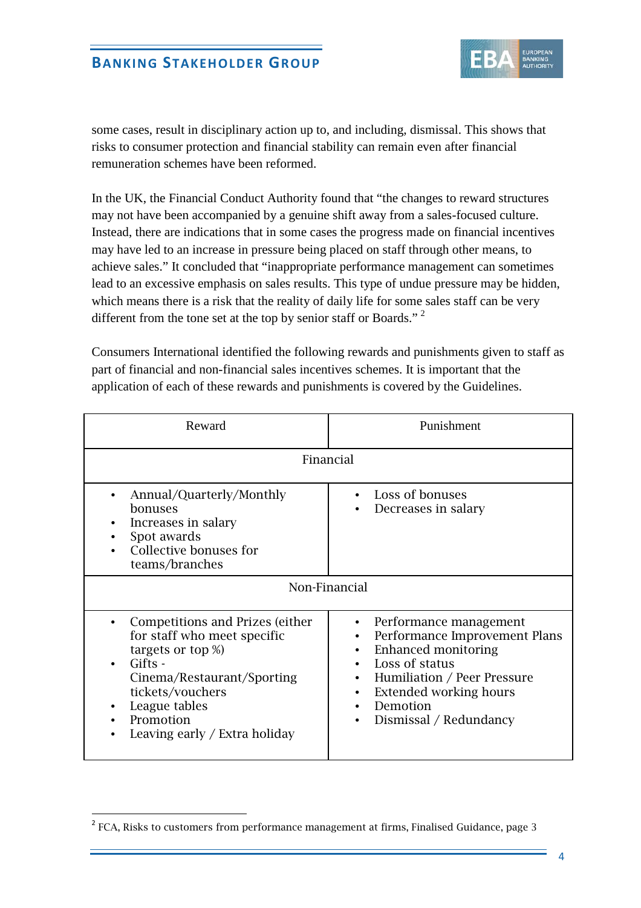

some cases, result in disciplinary action up to, and including, dismissal. This shows that risks to consumer protection and financial stability can remain even after financial remuneration schemes have been reformed.

In the UK, the Financial Conduct Authority found that "the changes to reward structures may not have been accompanied by a genuine shift away from a sales-focused culture. Instead, there are indications that in some cases the progress made on financial incentives may have led to an increase in pressure being placed on staff through other means, to achieve sales." It concluded that "inappropriate performance management can sometimes lead to an excessive emphasis on sales results. This type of undue pressure may be hidden, which means there is a risk that the reality of daily life for some sales staff can be very different from the tone set at the top by senior staff or Boards."<sup>[2](#page-3-0)</sup>

Consumers International identified the following rewards and punishments given to staff as part of financial and non-financial sales incentives schemes. It is important that the application of each of these rewards and punishments is covered by the Guidelines.

| Reward                                                                                                                                                                                                                                                                   | Punishment                                                                                                                                                                                                                                                                                              |
|--------------------------------------------------------------------------------------------------------------------------------------------------------------------------------------------------------------------------------------------------------------------------|---------------------------------------------------------------------------------------------------------------------------------------------------------------------------------------------------------------------------------------------------------------------------------------------------------|
| Financial                                                                                                                                                                                                                                                                |                                                                                                                                                                                                                                                                                                         |
| Annual/Quarterly/Monthly<br>bonuses<br>Increases in salary<br>Spot awards<br>Collective bonuses for<br>teams/branches                                                                                                                                                    | Loss of bonuses<br>Decreases in salary                                                                                                                                                                                                                                                                  |
| Non-Financial                                                                                                                                                                                                                                                            |                                                                                                                                                                                                                                                                                                         |
| Competitions and Prizes (either<br>$\bullet$<br>for staff who meet specific<br>targets or top %)<br>Gifts -<br>$\bullet$<br>Cinema/Restaurant/Sporting<br>tickets/vouchers<br>League tables<br>$\bullet$<br>Promotion<br>$\bullet$<br>Leaving early / Extra holiday<br>٠ | Performance management<br>$\bullet$<br>Performance Improvement Plans<br>$\bullet$<br>Enhanced monitoring<br>$\bullet$<br>Loss of status<br>$\bullet$<br>Humiliation / Peer Pressure<br>$\bullet$<br>Extended working hours<br>$\bullet$<br>Demotion<br>$\bullet$<br>Dismissal / Redundancy<br>$\bullet$ |

l,

<span id="page-3-0"></span> $2$  FCA, Risks to customers from performance management at firms, Finalised Guidance, page 3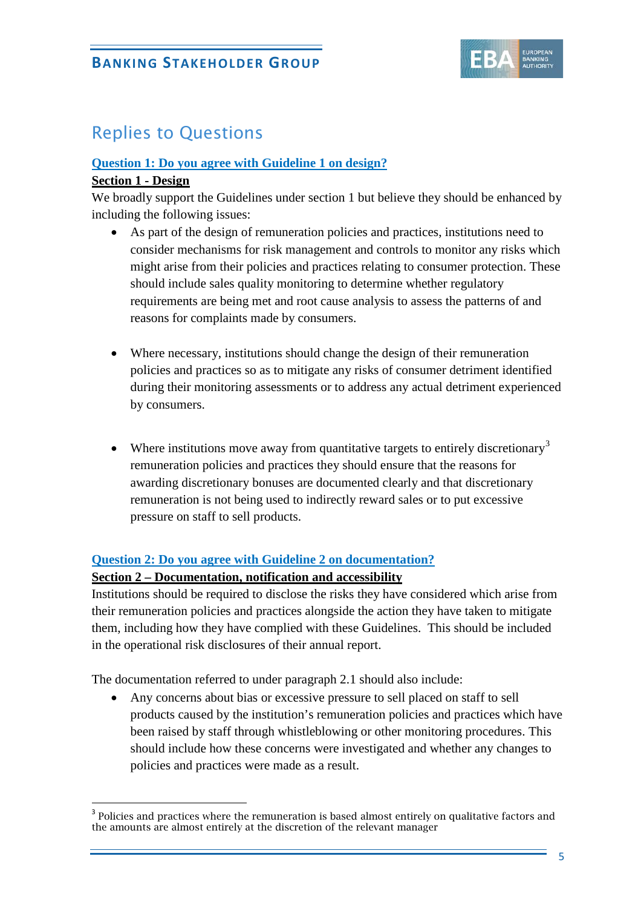

# Replies to Questions

#### **Question 1: Do you agree with Guideline 1 on design?**

#### **Section 1 - Design**

l,

We broadly support the Guidelines under section 1 but believe they should be enhanced by including the following issues:

- As part of the design of remuneration policies and practices, institutions need to consider mechanisms for risk management and controls to monitor any risks which might arise from their policies and practices relating to consumer protection. These should include sales quality monitoring to determine whether regulatory requirements are being met and root cause analysis to assess the patterns of and reasons for complaints made by consumers.
- Where necessary, institutions should change the design of their remuneration policies and practices so as to mitigate any risks of consumer detriment identified during their monitoring assessments or to address any actual detriment experienced by consumers.
- Where institutions move away from quantitative targets to entirely discretionary<sup>[3](#page-4-0)</sup> remuneration policies and practices they should ensure that the reasons for awarding discretionary bonuses are documented clearly and that discretionary remuneration is not being used to indirectly reward sales or to put excessive pressure on staff to sell products.

#### **Question 2: Do you agree with Guideline 2 on documentation?**

#### **Section 2 – Documentation, notification and accessibility**

Institutions should be required to disclose the risks they have considered which arise from their remuneration policies and practices alongside the action they have taken to mitigate them, including how they have complied with these Guidelines. This should be included in the operational risk disclosures of their annual report.

The documentation referred to under paragraph 2.1 should also include:

• Any concerns about bias or excessive pressure to sell placed on staff to sell products caused by the institution's remuneration policies and practices which have been raised by staff through whistleblowing or other monitoring procedures. This should include how these concerns were investigated and whether any changes to policies and practices were made as a result.

<span id="page-4-0"></span><sup>&</sup>lt;sup>3</sup> Policies and practices where the remuneration is based almost entirely on qualitative factors and the amounts are almost entirely at the discretion of the relevant manager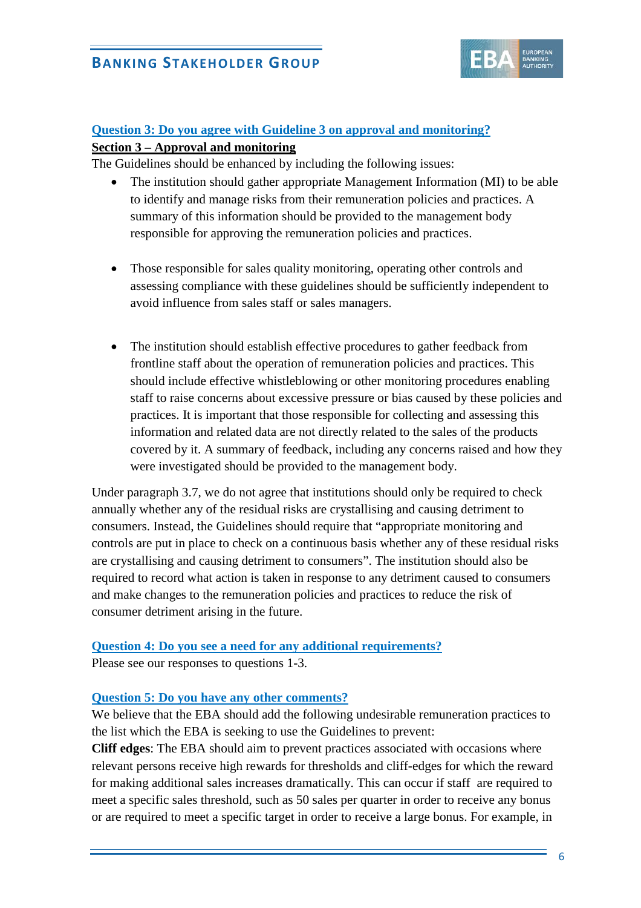

# **Question 3: Do you agree with Guideline 3 on approval and monitoring?**

### **Section 3 – Approval and monitoring**

The Guidelines should be enhanced by including the following issues:

- The institution should gather appropriate Management Information (MI) to be able to identify and manage risks from their remuneration policies and practices. A summary of this information should be provided to the management body responsible for approving the remuneration policies and practices.
- Those responsible for sales quality monitoring, operating other controls and assessing compliance with these guidelines should be sufficiently independent to avoid influence from sales staff or sales managers.
- The institution should establish effective procedures to gather feedback from frontline staff about the operation of remuneration policies and practices. This should include effective whistleblowing or other monitoring procedures enabling staff to raise concerns about excessive pressure or bias caused by these policies and practices. It is important that those responsible for collecting and assessing this information and related data are not directly related to the sales of the products covered by it. A summary of feedback, including any concerns raised and how they were investigated should be provided to the management body.

Under paragraph 3.7, we do not agree that institutions should only be required to check annually whether any of the residual risks are crystallising and causing detriment to consumers. Instead, the Guidelines should require that "appropriate monitoring and controls are put in place to check on a continuous basis whether any of these residual risks are crystallising and causing detriment to consumers". The institution should also be required to record what action is taken in response to any detriment caused to consumers and make changes to the remuneration policies and practices to reduce the risk of consumer detriment arising in the future.

# **Question 4: Do you see a need for any additional requirements?**

Please see our responses to questions 1-3.

#### **Question 5: Do you have any other comments?**

We believe that the EBA should add the following undesirable remuneration practices to the list which the EBA is seeking to use the Guidelines to prevent:

**Cliff edges**: The EBA should aim to prevent practices associated with occasions where relevant persons receive high rewards for thresholds and cliff-edges for which the reward for making additional sales increases dramatically. This can occur if staff are required to meet a specific sales threshold, such as 50 sales per quarter in order to receive any bonus or are required to meet a specific target in order to receive a large bonus. For example, in